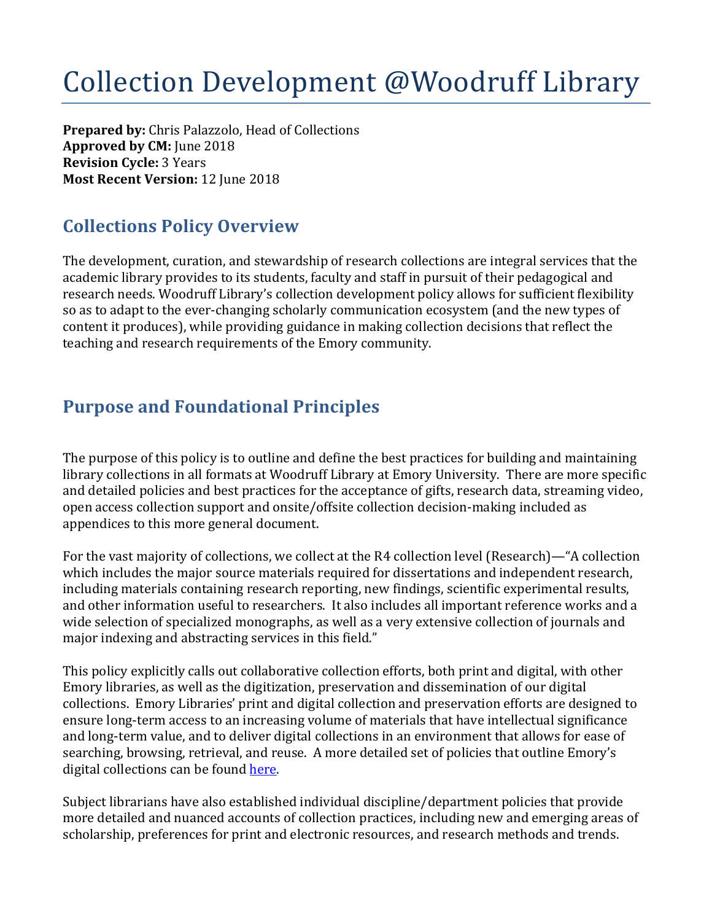## Collection Development @Woodruff Library

**Prepared by:** Chris Palazzolo, Head of Collections **Approved by CM:** June 2018 **Revision Cycle: 3 Years Most Recent Version:** 12 June 2018

## **Collections Policy Overview**

The development, curation, and stewardship of research collections are integral services that the academic library provides to its students, faculty and staff in pursuit of their pedagogical and research needs. Woodruff Library's collection development policy allows for sufficient flexibility so as to adapt to the ever-changing scholarly communication ecosystem (and the new types of content it produces), while providing guidance in making collection decisions that reflect the teaching and research requirements of the Emory community.

## **Purpose and Foundational Principles**

The purpose of this policy is to outline and define the best practices for building and maintaining library collections in all formats at Woodruff Library at Emory University. There are more specific and detailed policies and best practices for the acceptance of gifts, research data, streaming video, open access collection support and onsite/offsite collection decision-making included as appendices to this more general document.

For the vast majority of collections, we collect at the R4 collection level (Research)—"A collection which includes the major source materials required for dissertations and independent research, including materials containing research reporting, new findings, scientific experimental results, and other information useful to researchers. It also includes all important reference works and a wide selection of specialized monographs, as well as a very extensive collection of journals and major indexing and abstracting services in this field."

This policy explicitly calls out collaborative collection efforts, both print and digital, with other Emory libraries, as well as the digitization, preservation and dissemination of our digital collections. Emory Libraries' print and digital collection and preservation efforts are designed to ensure long-term access to an increasing volume of materials that have intellectual significance and long-term value, and to deliver digital collections in an environment that allows for ease of searching, browsing, retrieval, and reuse. A more detailed set of policies that outline Emory's digital collections can be found here.

Subject librarians have also established individual discipline/department policies that provide more detailed and nuanced accounts of collection practices, including new and emerging areas of scholarship, preferences for print and electronic resources, and research methods and trends.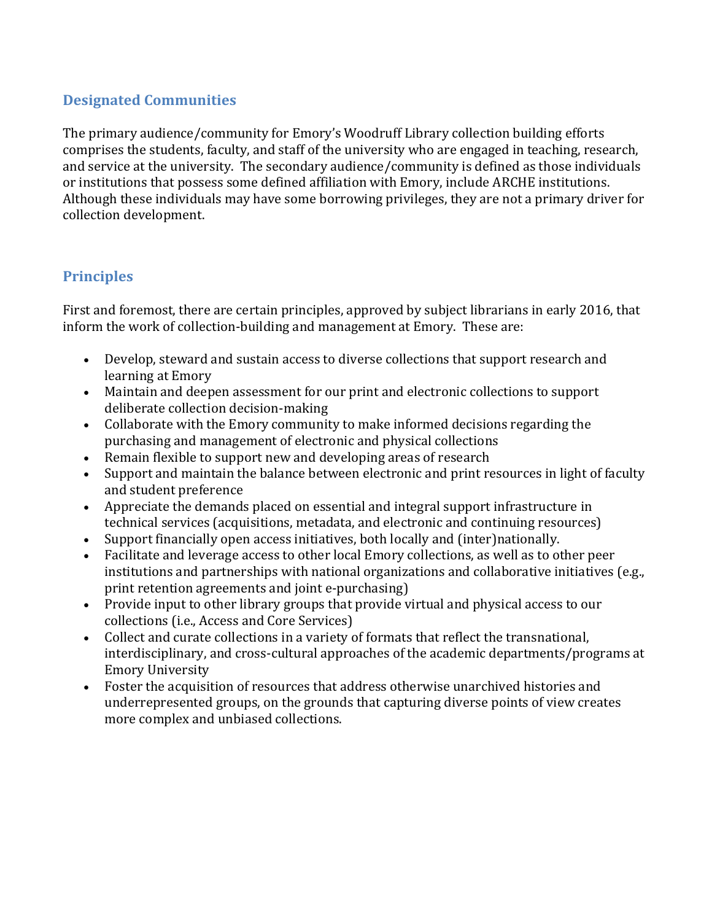### **Designated Communities**

The primary audience/community for Emory's Woodruff Library collection building efforts comprises the students, faculty, and staff of the university who are engaged in teaching, research, and service at the university. The secondary audience/community is defined as those individuals or institutions that possess some defined affiliation with Emory, include ARCHE institutions. Although these individuals may have some borrowing privileges, they are not a primary driver for collection development.

### **Principles**

First and foremost, there are certain principles, approved by subject librarians in early 2016, that inform the work of collection-building and management at Emory. These are:

- Develop, steward and sustain access to diverse collections that support research and learning at Emory
- Maintain and deepen assessment for our print and electronic collections to support deliberate collection decision-making
- Collaborate with the Emory community to make informed decisions regarding the purchasing and management of electronic and physical collections
- Remain flexible to support new and developing areas of research
- Support and maintain the balance between electronic and print resources in light of faculty and student preference
- Appreciate the demands placed on essential and integral support infrastructure in technical services (acquisitions, metadata, and electronic and continuing resources)
- Support financially open access initiatives, both locally and (inter)nationally.
- Facilitate and leverage access to other local Emory collections, as well as to other peer institutions and partnerships with national organizations and collaborative initiatives (e.g., print retention agreements and joint e-purchasing)
- Provide input to other library groups that provide virtual and physical access to our collections (i.e., Access and Core Services)
- Collect and curate collections in a variety of formats that reflect the transnational, interdisciplinary, and cross-cultural approaches of the academic departments/programs at **Emory University**
- Foster the acquisition of resources that address otherwise unarchived histories and underrepresented groups, on the grounds that capturing diverse points of view creates more complex and unbiased collections.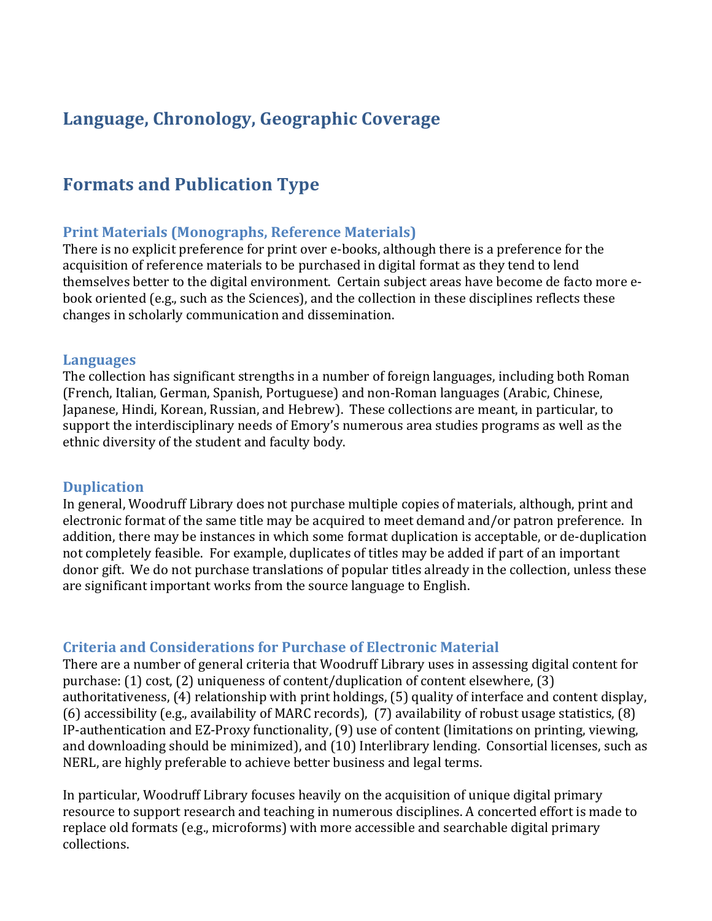### Language, Chronology, Geographic Coverage

### **Formats and Publication Type**

### **Print Materials (Monographs, Reference Materials)**

There is no explicit preference for print over e-books, although there is a preference for the acquisition of reference materials to be purchased in digital format as they tend to lend themselves better to the digital environment. Certain subject areas have become de facto more ebook oriented (e.g., such as the Sciences), and the collection in these disciplines reflects these changes in scholarly communication and dissemination.

### **Languages**

The collection has significant strengths in a number of foreign languages, including both Roman (French, Italian, German, Spanish, Portuguese) and non-Roman languages (Arabic, Chinese, Japanese, Hindi, Korean, Russian, and Hebrew). These collections are meant, in particular, to support the interdisciplinary needs of Emory's numerous area studies programs as well as the ethnic diversity of the student and faculty body.

### **Duplication**

In general, Woodruff Library does not purchase multiple copies of materials, although, print and electronic format of the same title may be acquired to meet demand and/or patron preference. In addition, there may be instances in which some format duplication is acceptable, or de-duplication not completely feasible. For example, duplicates of titles may be added if part of an important donor gift. We do not purchase translations of popular titles already in the collection, unless these are significant important works from the source language to English.

### **Criteria and Considerations for Purchase of Electronic Material**

There are a number of general criteria that Woodruff Library uses in assessing digital content for purchase:  $(1)$  cost,  $(2)$  uniqueness of content/duplication of content elsewhere,  $(3)$ authoritativeness, (4) relationship with print holdings, (5) quality of interface and content display, (6) accessibility (e.g., availability of MARC records), (7) availability of robust usage statistics,  $(8)$ IP-authentication and EZ-Proxy functionality, (9) use of content (limitations on printing, viewing, and downloading should be minimized), and (10) Interlibrary lending. Consortial licenses, such as NERL, are highly preferable to achieve better business and legal terms.

In particular, Woodruff Library focuses heavily on the acquisition of unique digital primary resource to support research and teaching in numerous disciplines. A concerted effort is made to replace old formats (e.g., microforms) with more accessible and searchable digital primary collections.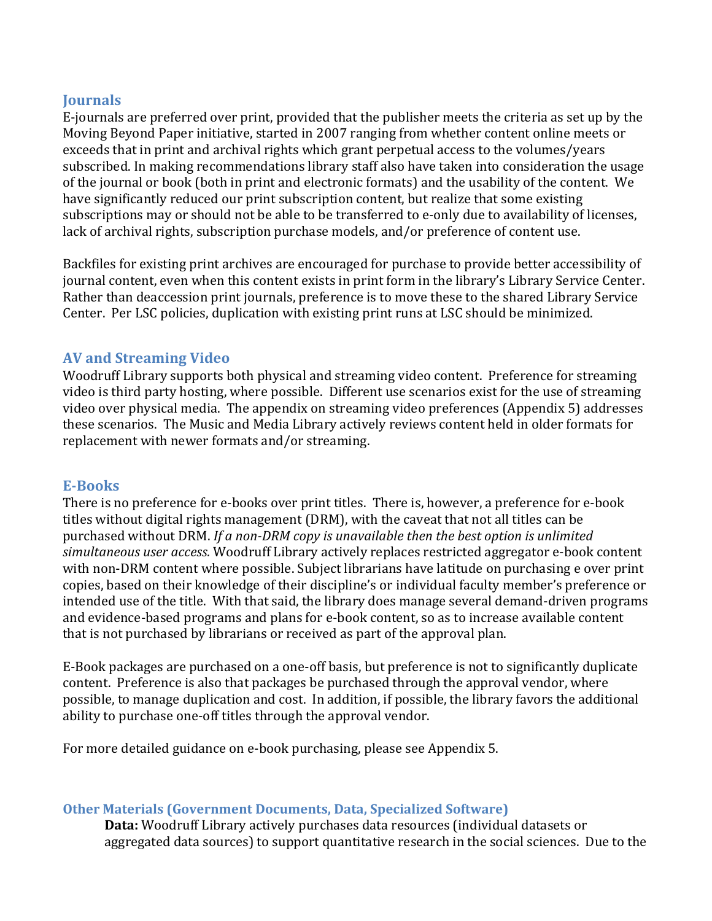### **Journals**

E-journals are preferred over print, provided that the publisher meets the criteria as set up by the Moving Beyond Paper initiative, started in 2007 ranging from whether content online meets or exceeds that in print and archival rights which grant perpetual access to the volumes/years subscribed. In making recommendations library staff also have taken into consideration the usage of the journal or book (both in print and electronic formats) and the usability of the content. We have significantly reduced our print subscription content, but realize that some existing subscriptions may or should not be able to be transferred to e-only due to availability of licenses, lack of archival rights, subscription purchase models, and/or preference of content use.

Backfiles for existing print archives are encouraged for purchase to provide better accessibility of journal content, even when this content exists in print form in the library's Library Service Center. Rather than deaccession print journals, preference is to move these to the shared Library Service Center. Per LSC policies, duplication with existing print runs at LSC should be minimized.

### **AV and Streaming Video**

Woodruff Library supports both physical and streaming video content. Preference for streaming video is third party hosting, where possible. Different use scenarios exist for the use of streaming video over physical media. The appendix on streaming video preferences (Appendix 5) addresses these scenarios. The Music and Media Library actively reviews content held in older formats for replacement with newer formats and/or streaming.

### **E-Books**

There is no preference for e-books over print titles. There is, however, a preference for e-book titles without digital rights management (DRM), with the caveat that not all titles can be purchased without DRM. If a non-DRM copy is unavailable then the best option is unlimited simultaneous user access. Woodruff Library actively replaces restricted aggregator e-book content with non-DRM content where possible. Subject librarians have latitude on purchasing e over print copies, based on their knowledge of their discipline's or individual faculty member's preference or intended use of the title. With that said, the library does manage several demand-driven programs and evidence-based programs and plans for e-book content, so as to increase available content that is not purchased by librarians or received as part of the approval plan.

E-Book packages are purchased on a one-off basis, but preference is not to significantly duplicate content. Preference is also that packages be purchased through the approval vendor, where possible, to manage duplication and cost. In addition, if possible, the library favors the additional ability to purchase one-off titles through the approval vendor.

For more detailed guidance on e-book purchasing, please see Appendix 5.

### **Other Materials (Government Documents, Data, Specialized Software)**

**Data:** Woodruff Library actively purchases data resources (individual datasets or aggregated data sources) to support quantitative research in the social sciences. Due to the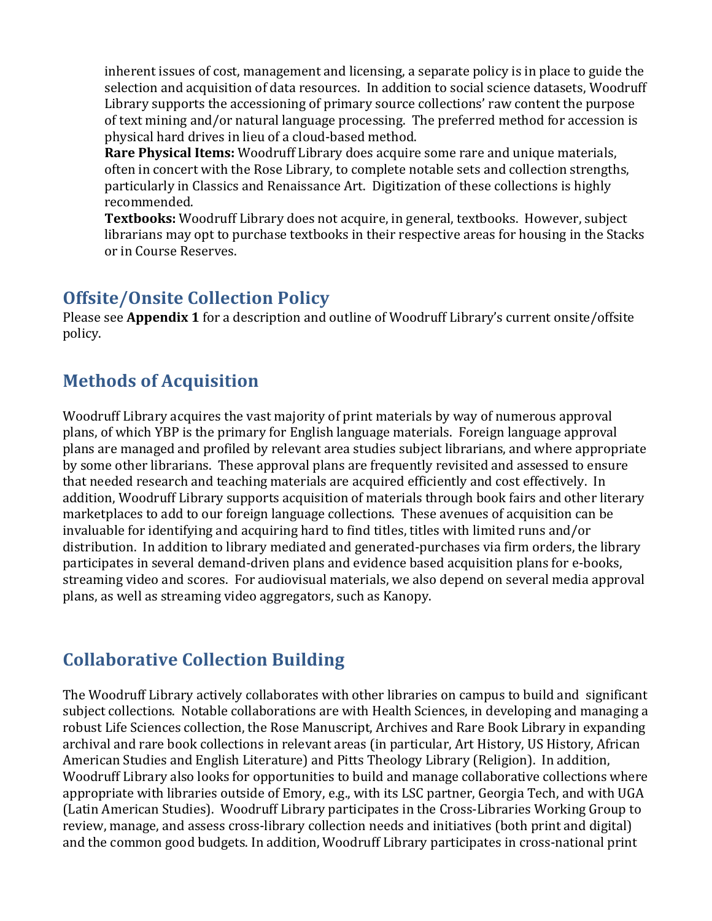inherent issues of cost, management and licensing, a separate policy is in place to guide the selection and acquisition of data resources. In addition to social science datasets, Woodruff Library supports the accessioning of primary source collections' raw content the purpose of text mining and/or natural language processing. The preferred method for accession is physical hard drives in lieu of a cloud-based method.

**Rare Physical Items:** Woodruff Library does acquire some rare and unique materials, often in concert with the Rose Library, to complete notable sets and collection strengths, particularly in Classics and Renaissance Art. Digitization of these collections is highly recommended.

**Textbooks:** Woodruff Library does not acquire, in general, textbooks. However, subject librarians may opt to purchase textbooks in their respective areas for housing in the Stacks or in Course Reserves.

### **Offsite/Onsite Collection Policy**

Please see **Appendix 1** for a description and outline of Woodruff Library's current onsite/offsite policy.

## **Methods of Acquisition**

Woodruff Library acquires the vast majority of print materials by way of numerous approval plans, of which YBP is the primary for English language materials. Foreign language approval plans are managed and profiled by relevant area studies subject librarians, and where appropriate by some other librarians. These approval plans are frequently revisited and assessed to ensure that needed research and teaching materials are acquired efficiently and cost effectively. In addition, Woodruff Library supports acquisition of materials through book fairs and other literary marketplaces to add to our foreign language collections. These avenues of acquisition can be invaluable for identifying and acquiring hard to find titles, titles with limited runs and/or distribution. In addition to library mediated and generated-purchases via firm orders, the library participates in several demand-driven plans and evidence based acquisition plans for e-books, streaming video and scores. For audiovisual materials, we also depend on several media approval plans, as well as streaming video aggregators, such as Kanopy.

## **Collaborative Collection Building**

The Woodruff Library actively collaborates with other libraries on campus to build and significant subject collections. Notable collaborations are with Health Sciences, in developing and managing a robust Life Sciences collection, the Rose Manuscript, Archives and Rare Book Library in expanding archival and rare book collections in relevant areas (in particular, Art History, US History, African American Studies and English Literature) and Pitts Theology Library (Religion). In addition, Woodruff Library also looks for opportunities to build and manage collaborative collections where appropriate with libraries outside of Emory, e.g., with its LSC partner, Georgia Tech, and with UGA (Latin American Studies). Woodruff Library participates in the Cross-Libraries Working Group to review, manage, and assess cross-library collection needs and initiatives (both print and digital) and the common good budgets. In addition, Woodruff Library participates in cross-national print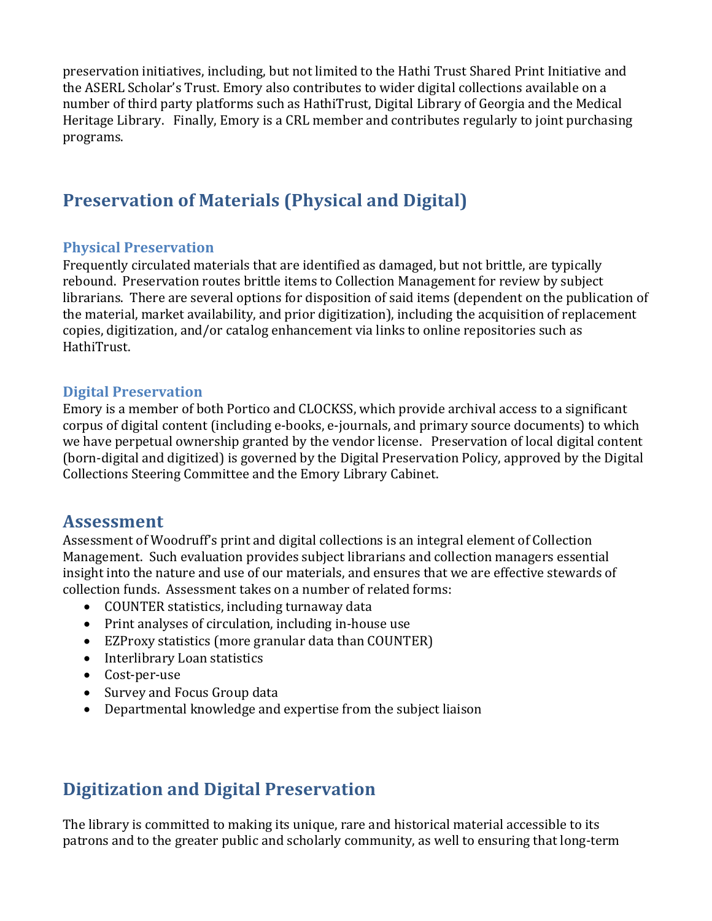preservation initiatives, including, but not limited to the Hathi Trust Shared Print Initiative and the ASERL Scholar's Trust. Emory also contributes to wider digital collections available on a number of third party platforms such as HathiTrust, Digital Library of Georgia and the Medical Heritage Library. Finally, Emory is a CRL member and contributes regularly to joint purchasing programs.

## **Preservation of Materials (Physical and Digital)**

### **Physical Preservation**

Frequently circulated materials that are identified as damaged, but not brittle, are typically rebound. Preservation routes brittle items to Collection Management for review by subject librarians. There are several options for disposition of said items (dependent on the publication of the material, market availability, and prior digitization), including the acquisition of replacement copies, digitization, and/or catalog enhancement via links to online repositories such as HathiTrust.

### **Digital Preservation**

Emory is a member of both Portico and CLOCKSS, which provide archival access to a significant corpus of digital content (including e-books, e-journals, and primary source documents) to which we have perpetual ownership granted by the vendor license. Preservation of local digital content (born-digital and digitized) is governed by the Digital Preservation Policy, approved by the Digital Collections Steering Committee and the Emory Library Cabinet.

### **Assessment**

Assessment of Woodruff's print and digital collections is an integral element of Collection Management. Such evaluation provides subject librarians and collection managers essential insight into the nature and use of our materials, and ensures that we are effective stewards of collection funds. Assessment takes on a number of related forms:

- COUNTER statistics, including turnaway data
- Print analyses of circulation, including in-house use
- EZProxy statistics (more granular data than COUNTER)
- Interlibrary Loan statistics
- Cost-per-use
- Survey and Focus Group data
- Departmental knowledge and expertise from the subject liaison

### **Digitization and Digital Preservation**

The library is committed to making its unique, rare and historical material accessible to its patrons and to the greater public and scholarly community, as well to ensuring that long-term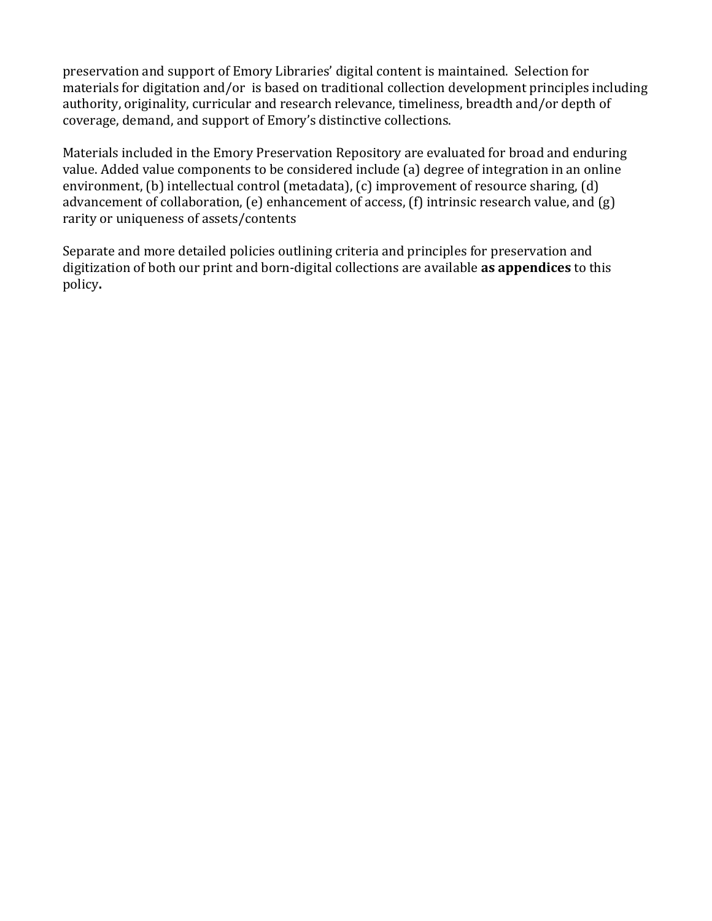preservation and support of Emory Libraries' digital content is maintained. Selection for materials for digitation and/or is based on traditional collection development principles including authority, originality, curricular and research relevance, timeliness, breadth and/or depth of coverage, demand, and support of Emory's distinctive collections.

Materials included in the Emory Preservation Repository are evaluated for broad and enduring value. Added value components to be considered include (a) degree of integration in an online environment,  $(b)$  intellectual control (metadata),  $(c)$  improvement of resource sharing,  $(d)$ advancement of collaboration,  $(e)$  enhancement of access,  $(f)$  intrinsic research value, and  $(g)$ rarity or uniqueness of assets/contents

Separate and more detailed policies outlining criteria and principles for preservation and digitization of both our print and born-digital collections are available **as appendices** to this policy**.**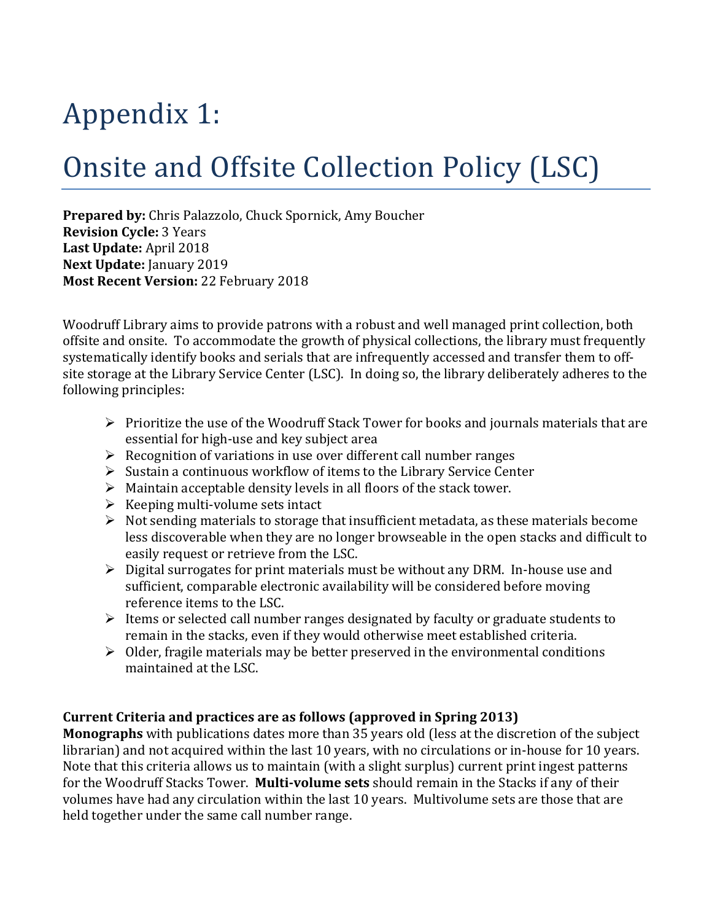# Appendix 1:

# Onsite and Offsite Collection Policy (LSC)

**Prepared by:** Chris Palazzolo, Chuck Spornick, Amy Boucher **Revision Cycle: 3 Years** Last Update: April 2018 **Next Update:** January 2019 **Most Recent Version:** 22 February 2018

Woodruff Library aims to provide patrons with a robust and well managed print collection, both offsite and onsite. To accommodate the growth of physical collections, the library must frequently systematically identify books and serials that are infrequently accessed and transfer them to offsite storage at the Library Service Center (LSC). In doing so, the library deliberately adheres to the following principles:

- $\triangleright$  Prioritize the use of the Woodruff Stack Tower for books and journals materials that are essential for high-use and key subject area
- $\triangleright$  Recognition of variations in use over different call number ranges
- $\triangleright$  Sustain a continuous workflow of items to the Library Service Center
- $\triangleright$  Maintain acceptable density levels in all floors of the stack tower.
- $\triangleright$  Keeping multi-volume sets intact
- $\triangleright$  Not sending materials to storage that insufficient metadata, as these materials become less discoverable when they are no longer browseable in the open stacks and difficult to easily request or retrieve from the LSC.
- $\triangleright$  Digital surrogates for print materials must be without any DRM. In-house use and sufficient, comparable electronic availability will be considered before moving reference items to the LSC.
- $\triangleright$  Items or selected call number ranges designated by faculty or graduate students to remain in the stacks, even if they would otherwise meet established criteria.
- $\triangleright$  Older, fragile materials may be better preserved in the environmental conditions maintained at the LSC.

### **Current Criteria and practices are as follows (approved in Spring 2013)**

**Monographs** with publications dates more than 35 years old (less at the discretion of the subject librarian) and not acquired within the last 10 years, with no circulations or in-house for 10 years. Note that this criteria allows us to maintain (with a slight surplus) current print ingest patterns for the Woodruff Stacks Tower. Multi-volume sets should remain in the Stacks if any of their volumes have had any circulation within the last 10 years. Multivolume sets are those that are held together under the same call number range.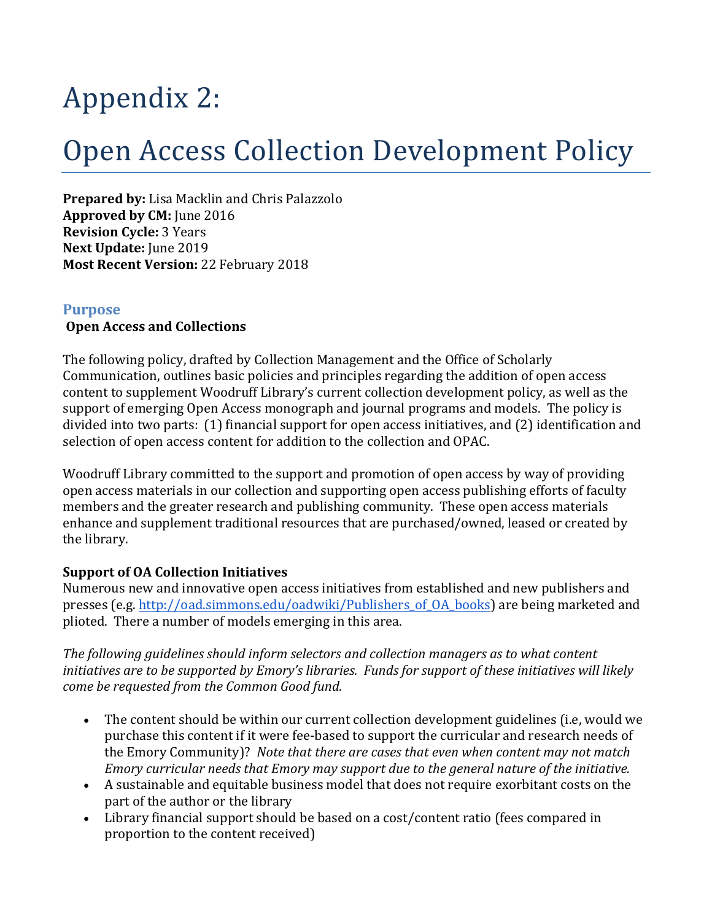# Appendix 2:

## Open Access Collection Development Policy

**Prepared by:** Lisa Macklin and Chris Palazzolo **Approved by CM:** June 2016 **Revision Cycle: 3 Years Next Update:** June 2019 **Most Recent Version: 22 February 2018** 

### **Purpose**

#### **Open Access and Collections**

The following policy, drafted by Collection Management and the Office of Scholarly Communication, outlines basic policies and principles regarding the addition of open access content to supplement Woodruff Library's current collection development policy, as well as the support of emerging Open Access monograph and journal programs and models. The policy is divided into two parts: (1) financial support for open access initiatives, and (2) identification and selection of open access content for addition to the collection and OPAC.

Woodruff Library committed to the support and promotion of open access by way of providing open access materials in our collection and supporting open access publishing efforts of faculty members and the greater research and publishing community. These open access materials enhance and supplement traditional resources that are purchased/owned, leased or created by the library.

### **Support of OA Collection Initiatives**

Numerous new and innovative open access initiatives from established and new publishers and presses (e.g. http://oad.simmons.edu/oadwiki/Publishers of OA\_books) are being marketed and plioted. There a number of models emerging in this area.

The following guidelines should inform selectors and collection managers as to what content *initiatives are to be supported by Emory's libraries. Funds for support of these initiatives will likely come be requested from the Common Good fund.* 

- The content should be within our current collection development guidelines (i.e, would we purchase this content if it were fee-based to support the curricular and research needs of the Emory Community)? *Note that there are cases that even when content may not match Emory curricular needs that Emory may support due to the general nature of the initiative.*
- A sustainable and equitable business model that does not require exorbitant costs on the part of the author or the library
- Library financial support should be based on a cost/content ratio (fees compared in proportion to the content received)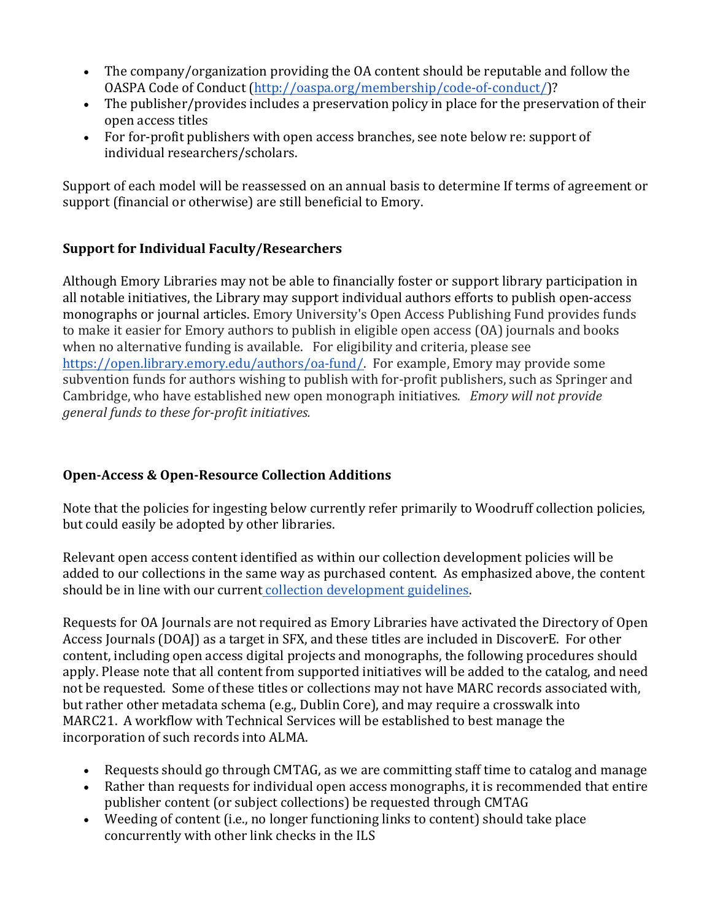- The company/organization providing the OA content should be reputable and follow the OASPA Code of Conduct (http://oaspa.org/membership/code-of-conduct/)?
- The publisher/provides includes a preservation policy in place for the preservation of their open access titles
- For for-profit publishers with open access branches, see note below re: support of individual researchers/scholars.

Support of each model will be reassessed on an annual basis to determine If terms of agreement or support (financial or otherwise) are still beneficial to Emory.

### **Support for Individual Faculty/Researchers**

Although Emory Libraries may not be able to financially foster or support library participation in all notable initiatives, the Library may support individual authors efforts to publish open-access monographs or journal articles. Emory University's Open Access Publishing Fund provides funds to make it easier for Emory authors to publish in eligible open access (OA) journals and books when no alternative funding is available. For eligibility and criteria, please see https://open.library.emory.edu/authors/oa-fund/. For example, Emory may provide some subvention funds for authors wishing to publish with for-profit publishers, such as Springer and Cambridge, who have established new open monograph initiatives. *Emory will not provide general funds to these for-profit initiatives.* 

### **Open-Access & Open-Resource Collection Additions**

Note that the policies for ingesting below currently refer primarily to Woodruff collection policies, but could easily be adopted by other libraries.

Relevant open access content identified as within our collection development policies will be added to our collections in the same way as purchased content. As emphasized above, the content should be in line with our current collection development guidelines.

Requests for OA Journals are not required as Emory Libraries have activated the Directory of Open Access Journals (DOAJ) as a target in SFX, and these titles are included in DiscoverE. For other content, including open access digital projects and monographs, the following procedures should apply. Please note that all content from supported initiatives will be added to the catalog, and need not be requested. Some of these titles or collections may not have MARC records associated with, but rather other metadata schema (e.g., Dublin Core), and may require a crosswalk into MARC21. A workflow with Technical Services will be established to best manage the incorporation of such records into ALMA.

- Requests should go through CMTAG, as we are committing staff time to catalog and manage
- Rather than requests for individual open access monographs, it is recommended that entire publisher content (or subject collections) be requested through CMTAG
- Weeding of content (i.e., no longer functioning links to content) should take place concurrently with other link checks in the ILS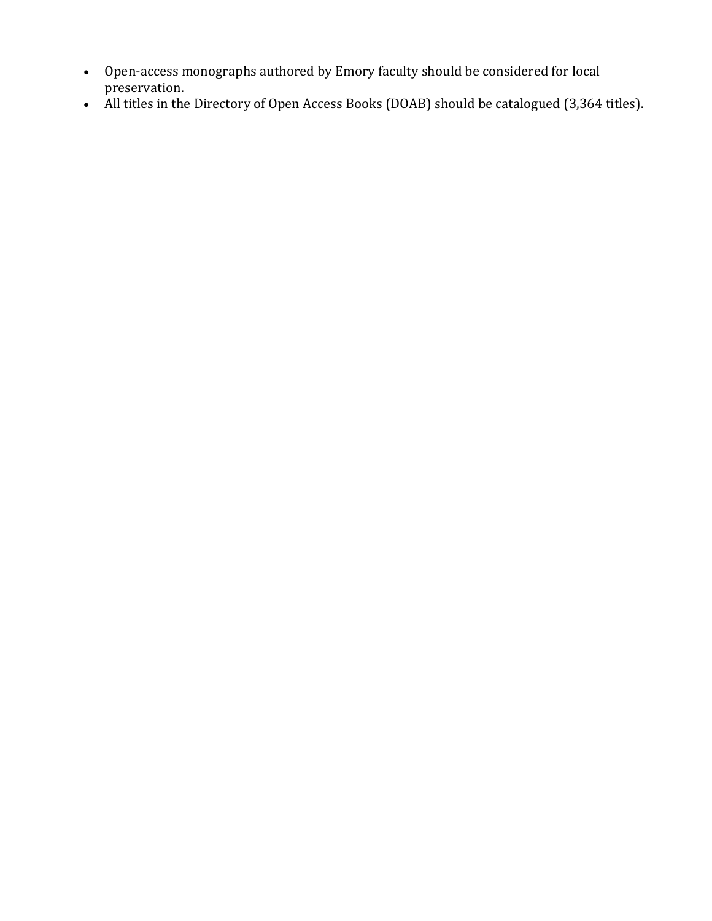- Open-access monographs authored by Emory faculty should be considered for local preservation.
- All titles in the Directory of Open Access Books (DOAB) should be catalogued (3,364 titles).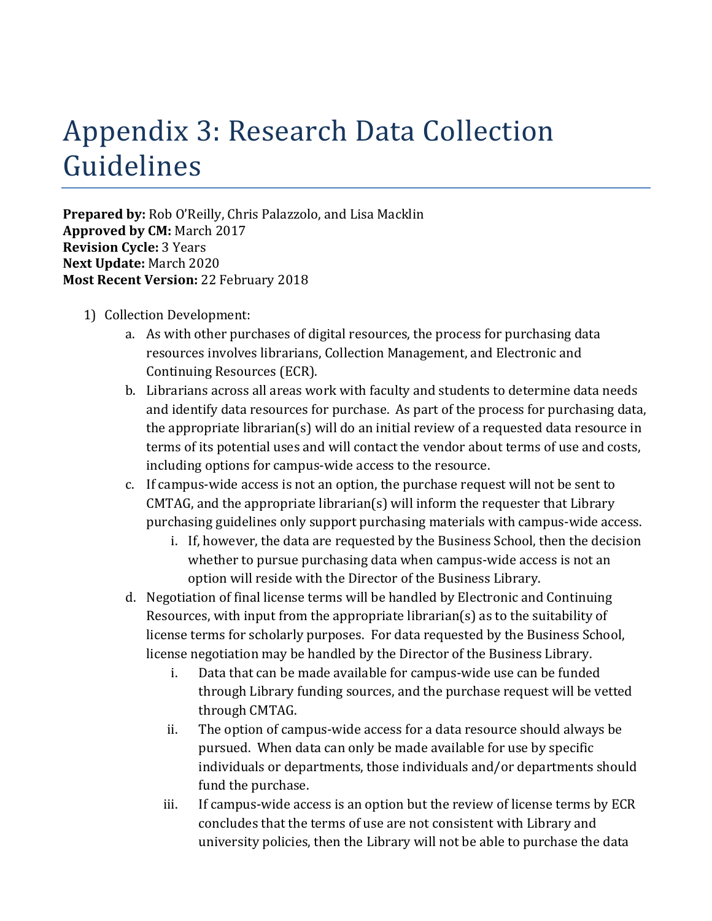## Appendix 3: Research Data Collection Guidelines

**Prepared by:** Rob O'Reilly, Chris Palazzolo, and Lisa Macklin **Approved by CM: March 2017 Revision Cycle: 3 Years Next Update:** March 2020 **Most Recent Version:** 22 February 2018

- 1) Collection Development:
	- a. As with other purchases of digital resources, the process for purchasing data resources involves librarians, Collection Management, and Electronic and Continuing Resources (ECR).
	- b. Librarians across all areas work with faculty and students to determine data needs and identify data resources for purchase. As part of the process for purchasing data, the appropriate librarian(s) will do an initial review of a requested data resource in terms of its potential uses and will contact the vendor about terms of use and costs, including options for campus-wide access to the resource.
	- c. If campus-wide access is not an option, the purchase request will not be sent to  $CMTAG$ , and the appropriate librarian(s) will inform the requester that Library purchasing guidelines only support purchasing materials with campus-wide access.
		- i. If, however, the data are requested by the Business School, then the decision whether to pursue purchasing data when campus-wide access is not an option will reside with the Director of the Business Library.
	- d. Negotiation of final license terms will be handled by Electronic and Continuing Resources, with input from the appropriate librarian(s) as to the suitability of license terms for scholarly purposes. For data requested by the Business School, license negotiation may be handled by the Director of the Business Library.
		- i. Data that can be made available for campus-wide use can be funded through Library funding sources, and the purchase request will be vetted through CMTAG.
		- ii. The option of campus-wide access for a data resource should always be pursued. When data can only be made available for use by specific individuals or departments, those individuals and/or departments should fund the purchase.
		- iii. If campus-wide access is an option but the review of license terms by ECR concludes that the terms of use are not consistent with Library and university policies, then the Library will not be able to purchase the data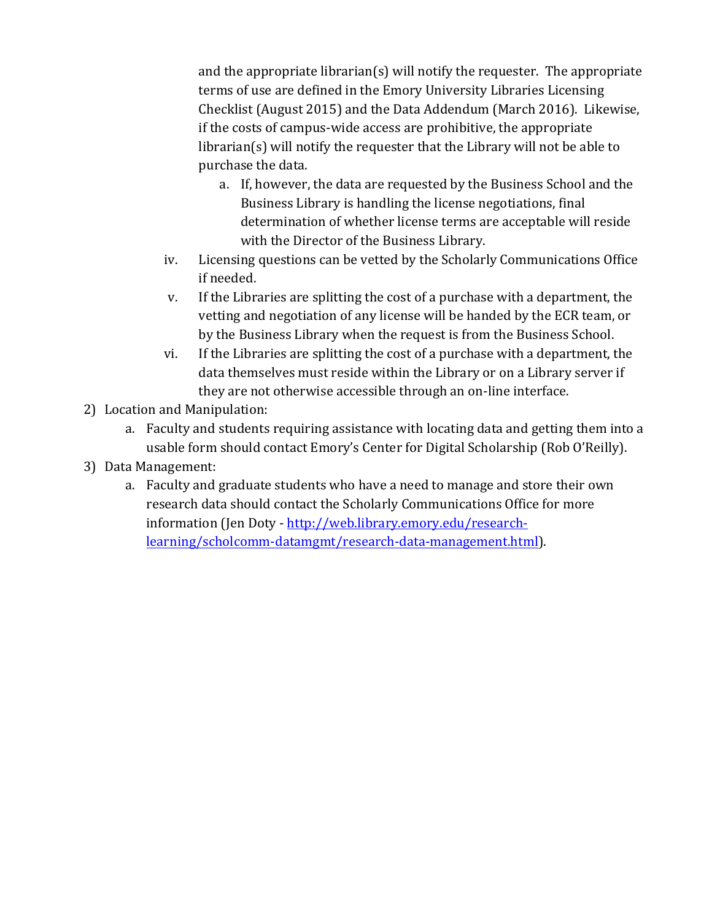and the appropriate librarian(s) will notify the requester. The appropriate terms of use are defined in the Emory University Libraries Licensing Checklist (August 2015) and the Data Addendum (March 2016). Likewise, if the costs of campus-wide access are prohibitive, the appropriate  $\frac{1}{\pi}$  librarian(s) will notify the requester that the Library will not be able to purchase the data.

- a. If, however, the data are requested by the Business School and the Business Library is handling the license negotiations, final determination of whether license terms are acceptable will reside with the Director of the Business Library.
- iv. Licensing questions can be vetted by the Scholarly Communications Office if needed.
- v. If the Libraries are splitting the cost of a purchase with a department, the vetting and negotiation of any license will be handed by the ECR team, or by the Business Library when the request is from the Business School.
- vi. If the Libraries are splitting the cost of a purchase with a department, the data themselves must reside within the Library or on a Library server if they are not otherwise accessible through an on-line interface.
- 2) Location and Manipulation:
	- a. Faculty and students requiring assistance with locating data and getting them into a usable form should contact Emory's Center for Digital Scholarship (Rob O'Reilly).
- 3) Data Management:
	- a. Faculty and graduate students who have a need to manage and store their own research data should contact the Scholarly Communications Office for more information (Jen Doty - http://web.library.emory.edu/researchlearning/scholcomm-datamgmt/research-data-management.html).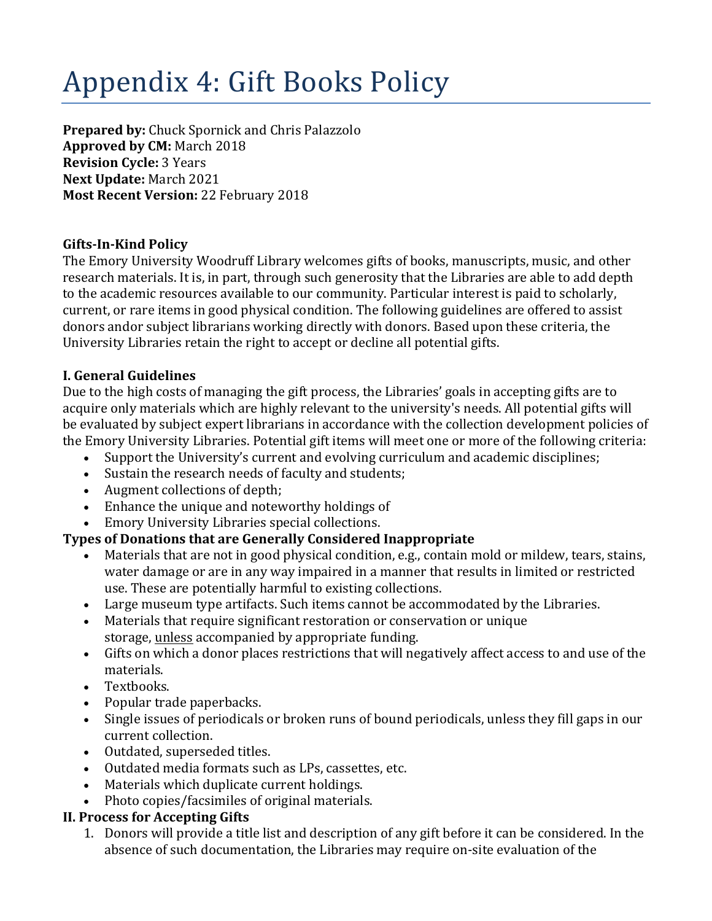# Appendix 4: Gift Books Policy

**Prepared by:** Chuck Spornick and Chris Palazzolo **Approved by CM:** March 2018 **Revision Cycle: 3 Years Next Update:** March 2021 **Most Recent Version: 22 February 2018** 

### **Gifts-In-Kind Policy**

The Emory University Woodruff Library welcomes gifts of books, manuscripts, music, and other research materials. It is, in part, through such generosity that the Libraries are able to add depth to the academic resources available to our community. Particular interest is paid to scholarly, current, or rare items in good physical condition. The following guidelines are offered to assist donors andor subject librarians working directly with donors. Based upon these criteria, the University Libraries retain the right to accept or decline all potential gifts.

### **I. General Guidelines**

Due to the high costs of managing the gift process, the Libraries' goals in accepting gifts are to acquire only materials which are highly relevant to the university's needs. All potential gifts will be evaluated by subject expert librarians in accordance with the collection development policies of the Emory University Libraries. Potential gift items will meet one or more of the following criteria:

- Support the University's current and evolving curriculum and academic disciplines;
- Sustain the research needs of faculty and students;
- Augment collections of depth;
- Enhance the unique and noteworthy holdings of
- Emory University Libraries special collections.

### **Types of Donations that are Generally Considered Inappropriate**

- Materials that are not in good physical condition, e.g., contain mold or mildew, tears, stains, water damage or are in any way impaired in a manner that results in limited or restricted use. These are potentially harmful to existing collections.
- Large museum type artifacts. Such items cannot be accommodated by the Libraries.
- Materials that require significant restoration or conservation or unique storage, unless accompanied by appropriate funding.
- Gifts on which a donor places restrictions that will negatively affect access to and use of the materials.
- Textbooks.
- Popular trade paperbacks.
- Single issues of periodicals or broken runs of bound periodicals, unless they fill gaps in our current collection.
- Outdated, superseded titles.
- Outdated media formats such as LPs, cassettes, etc.
- Materials which duplicate current holdings.
- Photo copies/facsimiles of original materials.

### **II. Process for Accepting Gifts**

1. Donors will provide a title list and description of any gift before it can be considered. In the absence of such documentation, the Libraries may require on-site evaluation of the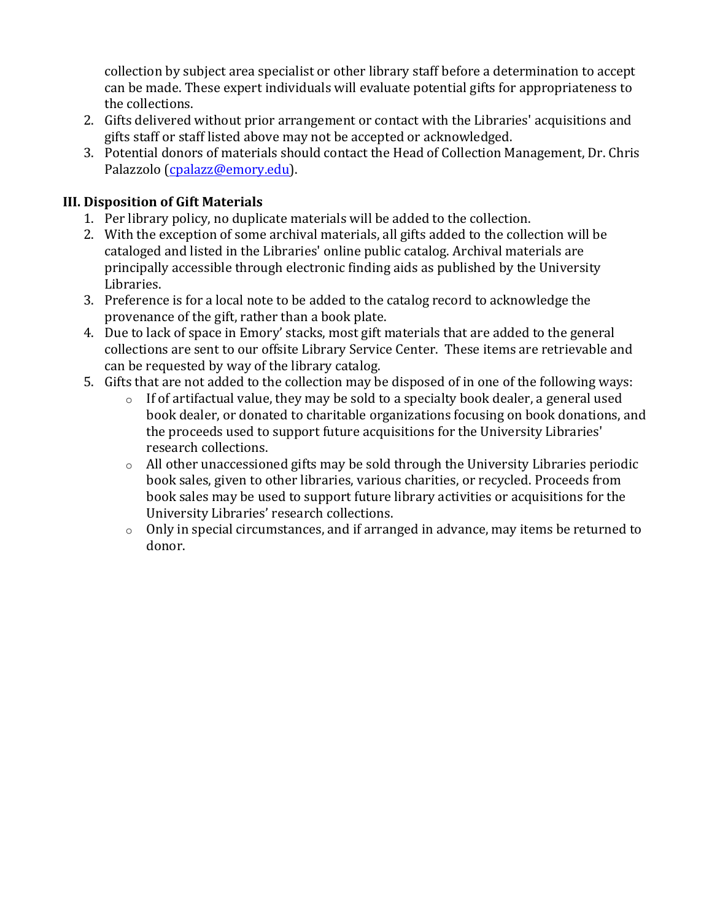collection by subject area specialist or other library staff before a determination to accept can be made. These expert individuals will evaluate potential gifts for appropriateness to the collections.

- 2. Gifts delivered without prior arrangement or contact with the Libraries' acquisitions and gifts staff or staff listed above may not be accepted or acknowledged.
- 3. Potential donors of materials should contact the Head of Collection Management, Dr. Chris Palazzolo (cpalazz@emory.edu).

### **III. Disposition of Gift Materials**

- 1. Per library policy, no duplicate materials will be added to the collection.
- 2. With the exception of some archival materials, all gifts added to the collection will be cataloged and listed in the Libraries' online public catalog. Archival materials are principally accessible through electronic finding aids as published by the University Libraries.
- 3. Preference is for a local note to be added to the catalog record to acknowledge the provenance of the gift, rather than a book plate.
- 4. Due to lack of space in Emory' stacks, most gift materials that are added to the general collections are sent to our offsite Library Service Center. These items are retrievable and can be requested by way of the library catalog.
- 5. Gifts that are not added to the collection may be disposed of in one of the following ways:
	- $\circ$  If of artifactual value, they may be sold to a specialty book dealer, a general used book dealer, or donated to charitable organizations focusing on book donations, and the proceeds used to support future acquisitions for the University Libraries' research collections.
	- $\circ$  All other unaccessioned gifts may be sold through the University Libraries periodic book sales, given to other libraries, various charities, or recycled. Proceeds from book sales may be used to support future library activities or acquisitions for the University Libraries' research collections.
	- $\circ$  Only in special circumstances, and if arranged in advance, may items be returned to donor.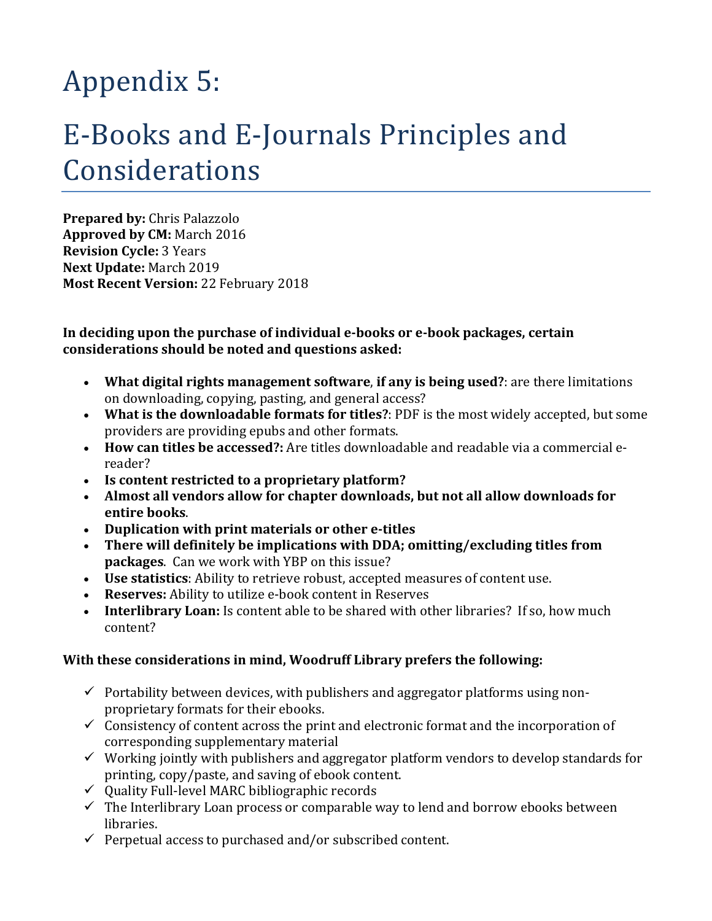# Appendix 5:

## E-Books and E-Journals Principles and Considerations

**Prepared by: Chris Palazzolo Approved by CM: March 2016 Revision Cycle: 3 Years Next Update:** March 2019 **Most Recent Version:** 22 February 2018

In deciding upon the purchase of individual e-books or e-book packages, certain considerations should be noted and questions asked:

- What digital rights management software, if any is being used?: are there limitations on downloading, copying, pasting, and general access?
- What is the downloadable formats for titles?: PDF is the most widely accepted, but some providers are providing epubs and other formats.
- How can titles be accessed?: Are titles downloadable and readable via a commercial ereader?
- Is content restricted to a proprietary platform?
- Almost all vendors allow for chapter downloads, but not all allow downloads for **entire books**.
- Duplication with print materials or other e-titles
- There will definitely be implications with DDA; omitting/excluding titles from **packages**. Can we work with YBP on this issue?
- **Use statistics**: Ability to retrieve robust, accepted measures of content use.
- Reserves: Ability to utilize e-book content in Reserves
- **Interlibrary Loan:** Is content able to be shared with other libraries? If so, how much content?

### With these considerations in mind, Woodruff Library prefers the following:

- $\checkmark$  Portability between devices, with publishers and aggregator platforms using nonproprietary formats for their ebooks.
- $\checkmark$  Consistency of content across the print and electronic format and the incorporation of corresponding supplementary material
- $\checkmark$  Working jointly with publishers and aggregator platform vendors to develop standards for printing, copy/paste, and saving of ebook content.
- $\checkmark$  Quality Full-level MARC bibliographic records
- $\checkmark$  The Interlibrary Loan process or comparable way to lend and borrow ebooks between libraries.
- $\checkmark$  Perpetual access to purchased and/or subscribed content.